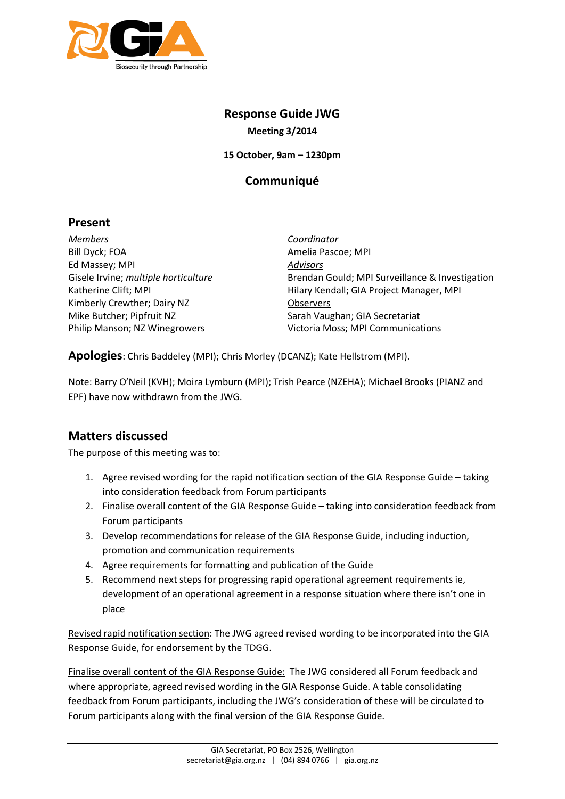

# **Response Guide JWG**

**Meeting 3/2014**

**15 October, 9am – 1230pm**

## **Communiqué**

### **Present**

*Members* Bill Dyck; FOA Ed Massey; MPI Gisele Irvine; *multiple horticulture*  Katherine Clift; MPI Kimberly Crewther; Dairy NZ Mike Butcher; Pipfruit NZ Philip Manson; NZ Winegrowers

*Coordinator* Amelia Pascoe; MPI *Advisors* Brendan Gould; MPI Surveillance & Investigation Hilary Kendall; GIA Project Manager, MPI **Observers** Sarah Vaughan; GIA Secretariat Victoria Moss; MPI Communications

**Apologies**: Chris Baddeley (MPI); Chris Morley (DCANZ); Kate Hellstrom (MPI).

Note: Barry O'Neil (KVH); Moira Lymburn (MPI); Trish Pearce (NZEHA); Michael Brooks (PIANZ and EPF) have now withdrawn from the JWG.

## **Matters discussed**

The purpose of this meeting was to:

- 1. Agree revised wording for the rapid notification section of the GIA Response Guide taking into consideration feedback from Forum participants
- 2. Finalise overall content of the GIA Response Guide taking into consideration feedback from Forum participants
- 3. Develop recommendations for release of the GIA Response Guide, including induction, promotion and communication requirements
- 4. Agree requirements for formatting and publication of the Guide
- 5. Recommend next steps for progressing rapid operational agreement requirements ie, development of an operational agreement in a response situation where there isn't one in place

Revised rapid notification section: The JWG agreed revised wording to be incorporated into the GIA Response Guide, for endorsement by the TDGG.

Finalise overall content of the GIA Response Guide: The JWG considered all Forum feedback and where appropriate, agreed revised wording in the GIA Response Guide. A table consolidating feedback from Forum participants, including the JWG's consideration of these will be circulated to Forum participants along with the final version of the GIA Response Guide.